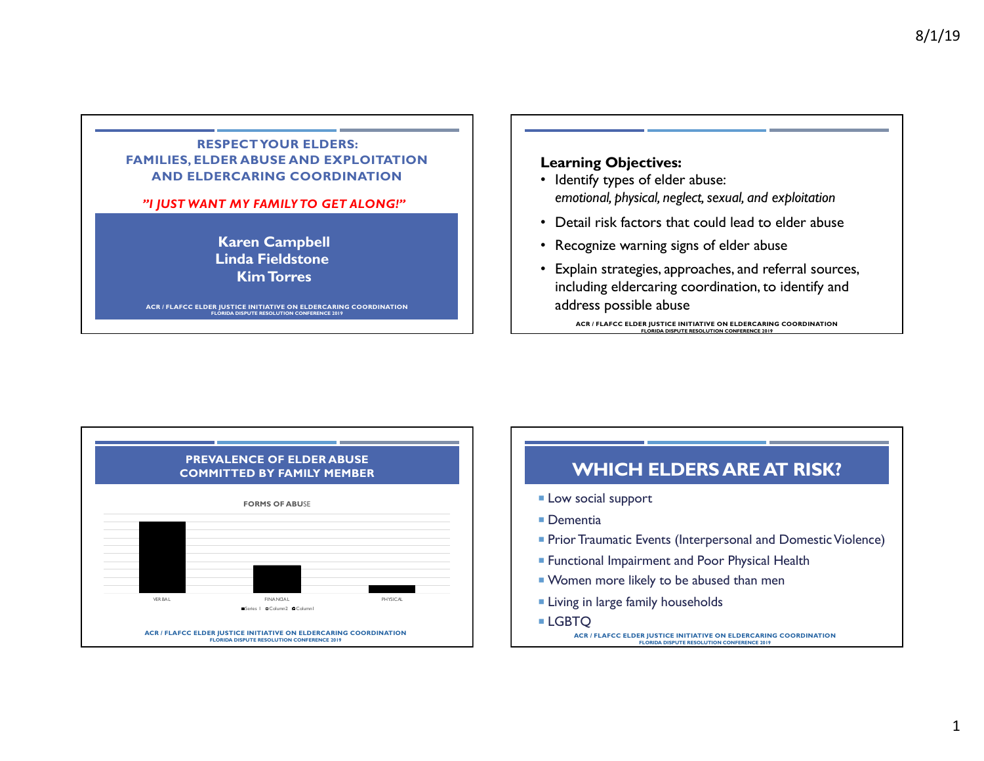## **RESPECT YOUR ELDERS: FAMILIES, ELDER ABUSE AND EXPLOITATION AND ELDERCARING COORDINATION**

#### *"I JUST WANT MY FAMILY TO GET ALONG!"*

**Karen Campbell Linda Fieldstone Kim Torres**

**ACR / FLAFCC ELDER JUSTICE INITIATIVE ON ELDERCARING COORDINATION FLORIDA DISPUTE RESOLUTION CONFERENCE 2019**

## **Learning Objectives:**

- Identify types of elder abuse: *emotional, physical, neglect, sexual, and exploitation*
- Detail risk factors that could lead to elder abuse
- Recognize warning signs of elder abuse
- Explain strategies, approaches, and referral sources, including eldercaring coordination, to identify and address possible abuse



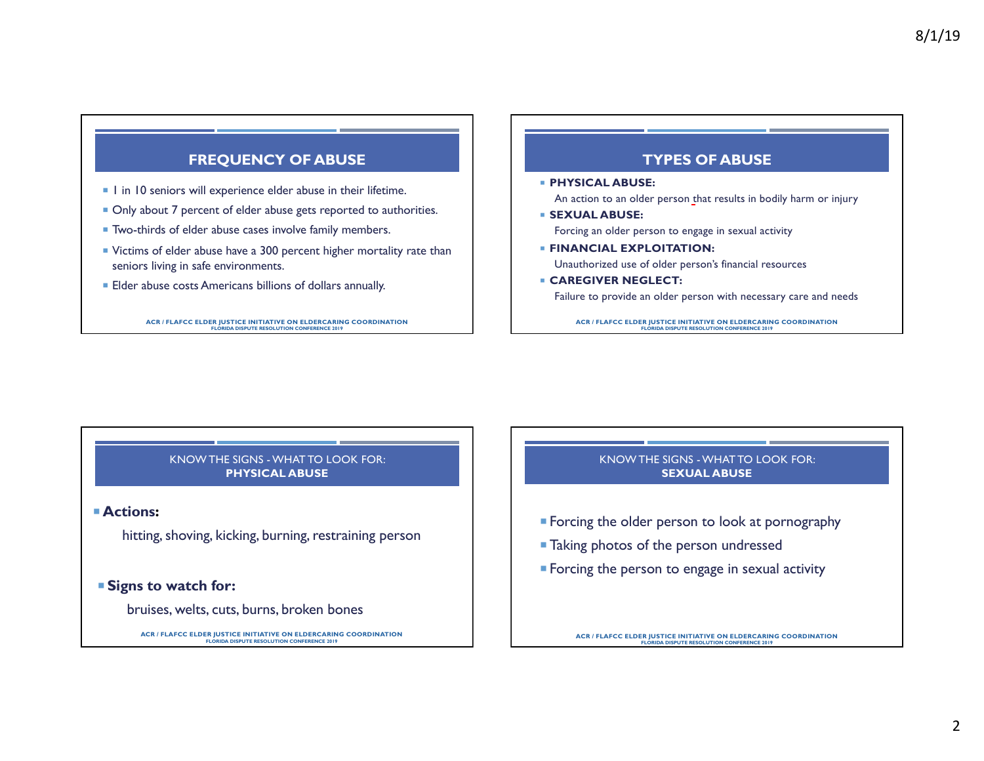## **FREQUENCY OF ABUSE**

- $\blacksquare$  1 in 10 seniors will experience elder abuse in their lifetime.
- Only about 7 percent of elder abuse gets reported to authorities.
- Two-thirds of elder abuse cases involve family members.
- ¡ Victims of elder abuse have a 300 percent higher mortality rate than seniors living in safe environments.
- Elder abuse costs Americans billions of dollars annually.

**ACR / FLAFCC ELDER JUSTICE INITIATIVE ON ELDERCARING COORDINATION FLORIDA DISPUTE RESOLUTION CONFERENCE 2019**

## **TYPES OF ABUSE**

¡ **PHYSICAL ABUSE:** 

An action to an older person that results in bodily harm or injury

¡ **SEXUAL ABUSE:** 

Forcing an older person to engage in sexual activity

- ¡ **FINANCIAL EXPLOITATION:**  Unauthorized use of older person's financial resources
- ¡ **CAREGIVER NEGLECT:**  Failure to provide an older person with necessary care and needs

**ACR / FLAFCC ELDER JUSTICE INITIATIVE ON ELDERCARING COORDINATION FLORIDA DISPUTE RESOLUTION CONFERENCE 2019**

#### KNOW THE SIGNS -WHAT TO LOOK FOR: **PHYSICAL ABUSE**

#### ¡**Actions:**

hitting, shoving, kicking, burning, restraining person

## ¡ **Signs to watch for:**

bruises, welts, cuts, burns, broken bones

**ACR / FLAFCC ELDER JUSTICE INITIATIVE ON ELDERCARING COORDINATION FLORIDA DISPUTE RESOLUTION CONFERENCE 2019**

#### KNOW THE SIGNS -WHAT TO LOOK FOR: **SEXUAL ABUSE**

- **Forcing the older person to look at pornography**
- **Taking photos of the person undressed**
- **Forcing the person to engage in sexual activity**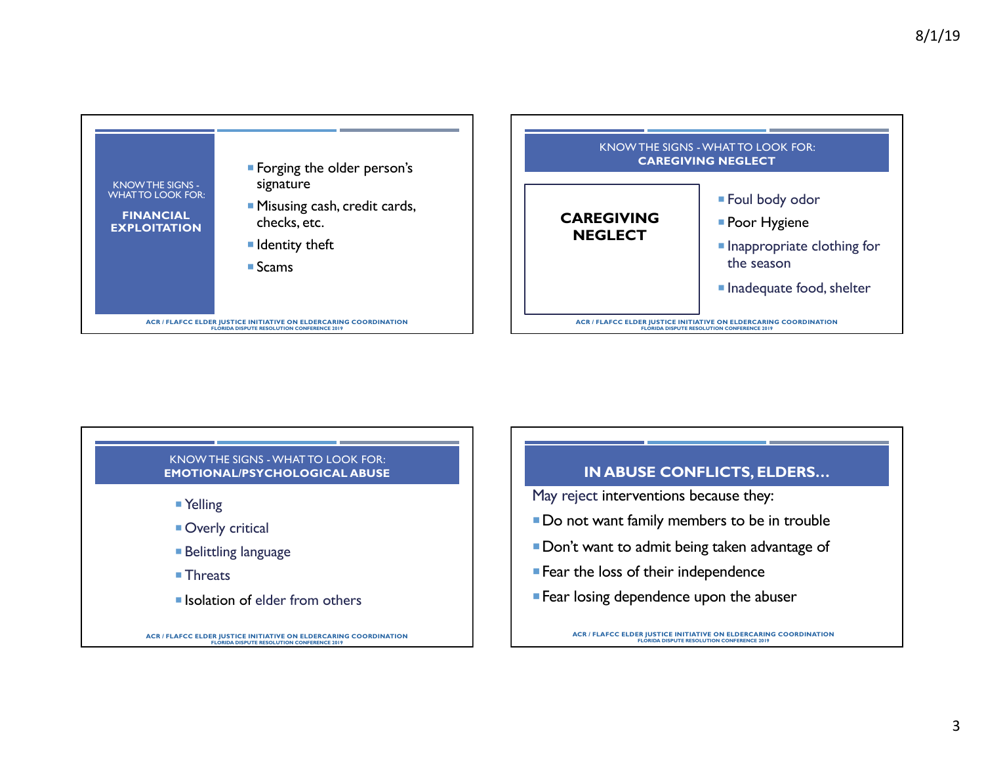



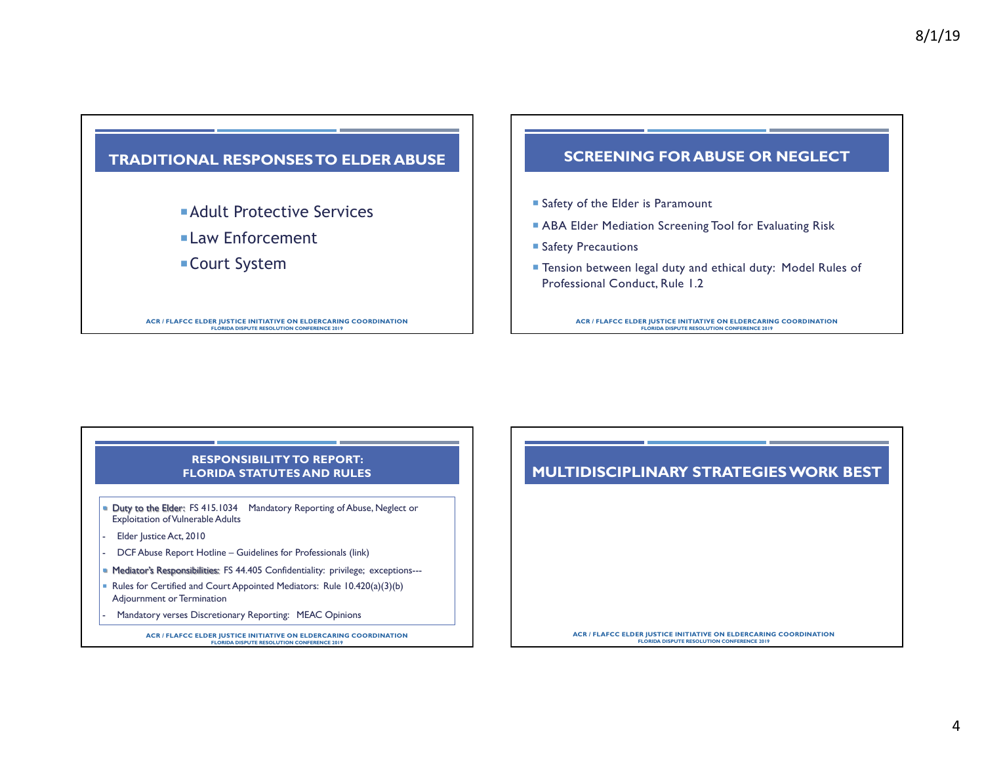# **TRADITIONAL RESPONSES TO ELDER ABUSE**

**Adult Protective Services** 

¡Law Enforcement

■ Court System

**ACR / FLAFCC ELDER JUSTICE INITIATIVE ON ELDERCARING COORDINATION FLORIDA DISPUTE RESOLUTION CONFERENCE 2019**

## **SCREENING FOR ABUSE OR NEGLECT**

- Safety of the Elder is Paramount
- ABA Elder Mediation Screening Tool for Evaluating Risk
- **Safety Precautions**
- Tension between legal duty and ethical duty: Model Rules of Professional Conduct, Rule 1.2

**ACR / FLAFCC ELDER JUSTICE INITIATIVE ON ELDERCARING COORDINATION FLORIDA DISPUTE RESOLUTION CONFERENCE 2019**

#### **RESPONSIBILITY TO REPORT: FLORIDA STATUTES AND RULES**

- Duty to the Elder: FS 415.1034 Mandatory Reporting of Abuse, Neglect or Exploitation of Vulnerable Adults
- Elder Justice Act, 2010
- DCF Abuse Report Hotline Guidelines for Professionals (link)
- **Mediator's Responsibilities: FS 44.405 Confidentiality: privilege; exceptions---**
- Rules for Certified and Court Appointed Mediators: Rule 10.420(a)(3)(b) Adjournment or Termination
- Mandatory verses Discretionary Reporting: MEAC Opinions

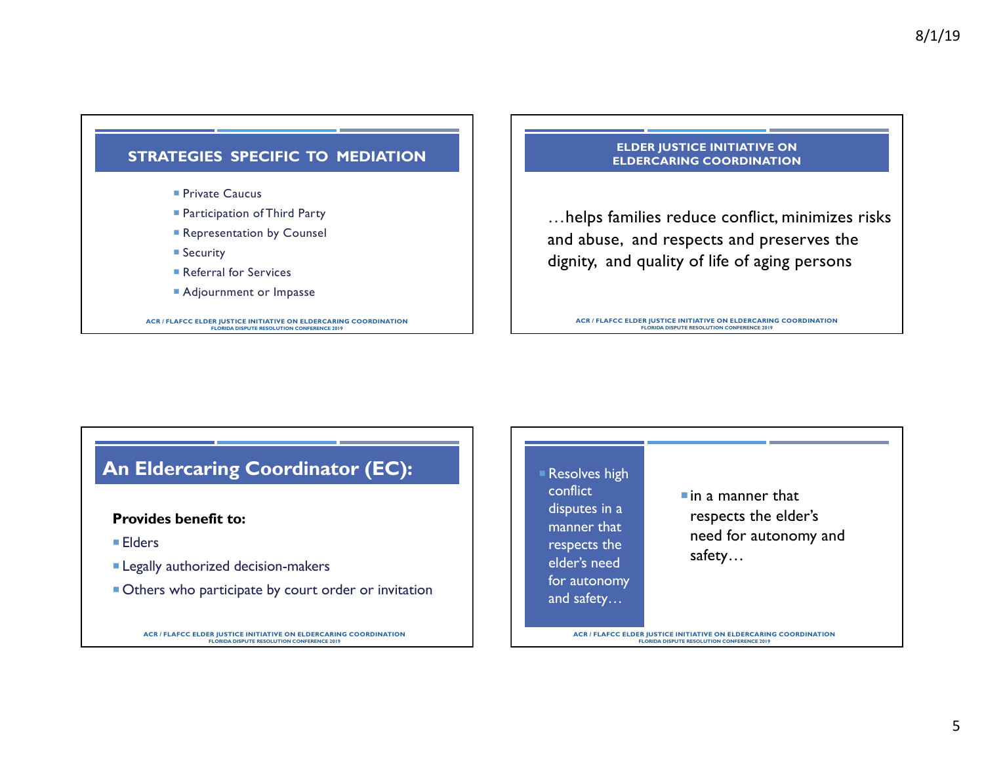

- **Participation of Third Party**
- **Representation by Counsel**
- Security
- Referral for Services
- **Adjournment or Impasse**

**ACR / FLAFCC ELDER JUSTICE INITIATIVE ON ELDERCARING COORDINATION FLORIDA DISPUTE RESOLUTION CONFERENCE 2019**

#### **ELDER JUSTICE INITIATIVE ON ELDERCARING COORDINATION**

…helps families reduce conflict, minimizes risks and abuse, and respects and preserves the dignity, and quality of life of aging persons

**ACR / FLAFCC ELDER JUSTICE INITIATIVE ON ELDERCARING COORDINATION FLORIDA DISPUTE RESOLUTION CONFERENCE 2019**

# **An Eldercaring Coordinator (EC):**

## **Provides benefit to:**

- Elders
- **Example 2** Legally authorized decision-makers
- Others who participate by court order or invitation

**ACR / FLAFCC ELDER JUSTICE INITIATIVE ON ELDERCARING COORDINATION FLORIDA DISPUTE RESOLUTION CONFERENCE 2019**

Resolves high conflict disputes in a manner that respects the elder's need for autonomy and safety…

 $\blacksquare$  in a manner that respects the elder's need for autonomy and safety…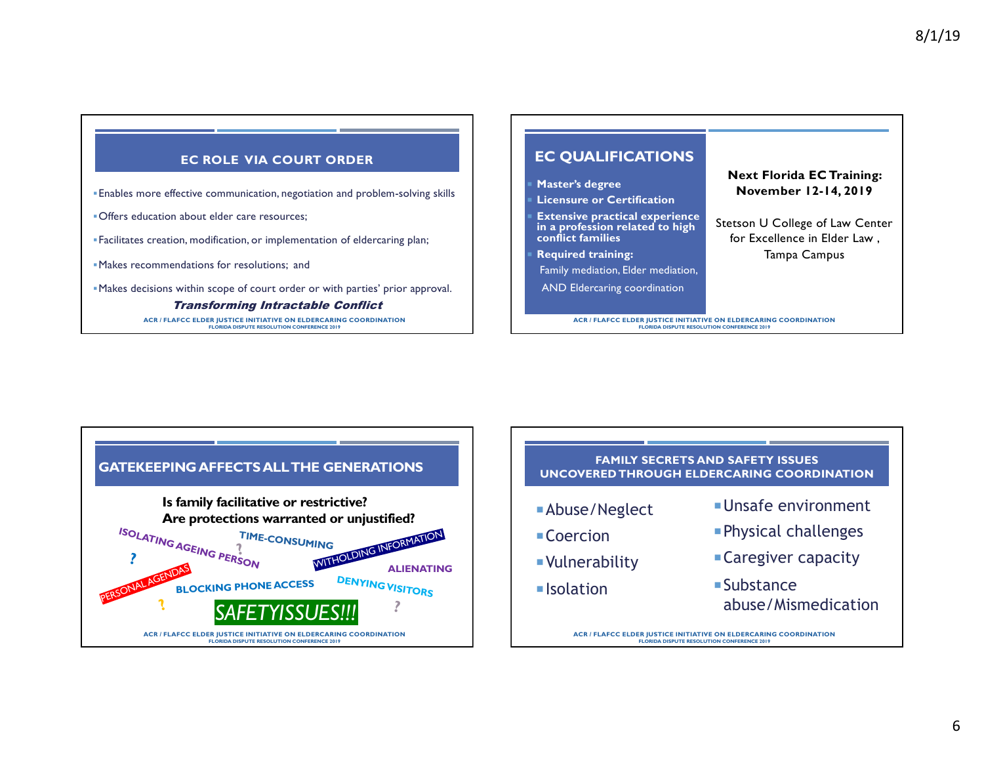## **EC ROLE VIA COURT ORDER**

- §Enables more effective communication, negotiation and problem-solving skills
- §Offers education about elder care resources;
- §Facilitates creation, modification, or implementation of eldercaring plan;
- §Makes recommendations for resolutions; and
- §Makes decisions within scope of court order or with parties' prior approval.

#### Transforming Intractable Conflict

**ACR / FLAFCC ELDER JUSTICE INITIATIVE ON ELDERCARING COORDINATION FLORIDA DISPUTE RESOLUTION CONFERENCE 2019**